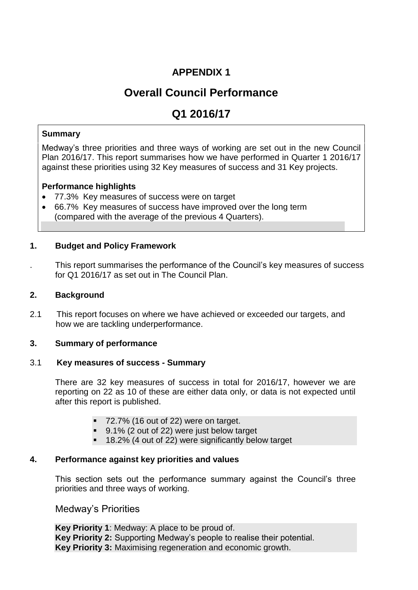# **APPENDIX 1**

# **Overall Council Performance**

# **Q1 2016/17**

# **Summary**

Medway's three priorities and three ways of working are set out in the new Council Plan 2016/17. This report summarises how we have performed in Quarter 1 2016/17 against these priorities using 32 Key measures of success and 31 Key projects.

# **Performance highlights**

- 77.3% Key measures of success were on target
- 66.7% Key measures of success have improved over the long term (compared with the average of the previous 4 Quarters).

# **1. Budget and Policy Framework**

. This report summarises the performance of the Council's key measures of success for Q1 2016/17 as set out in The Council Plan.

# **2. Background**

2.1 This report focuses on where we have achieved or exceeded our targets, and how we are tackling underperformance.

# **3. Summary of performance**

# 3.1 **Key measures of success - Summary**

There are 32 key measures of success in total for 2016/17, however we are reporting on 22 as 10 of these are either data only, or data is not expected until after this report is published.

- 72.7% (16 out of 22) were on target.
- 9.1% (2 out of 22) were just below target
- 18.2% (4 out of 22) were significantly below target

# **4. Performance against key priorities and values**

This section sets out the performance summary against the Council's three priorities and three ways of working.

# Medway's Priorities

**Key Priority 1**: Medway: A place to be proud of. **Key Priority 2:** Supporting Medway's people to realise their potential. **Key Priority 3:** Maximising regeneration and economic growth.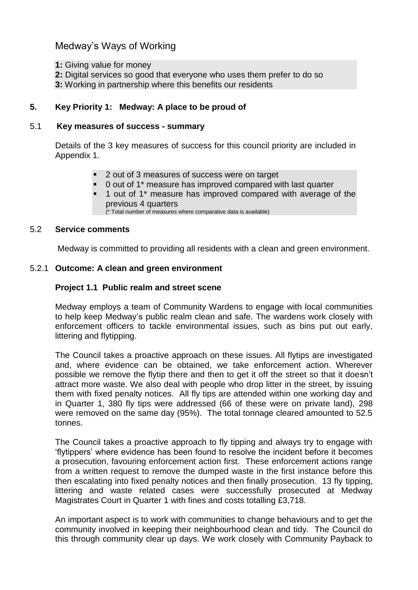Medway's Ways of Working

- **1:** Giving value for money
- **2:** Digital services so good that everyone who uses them prefer to do so
- **3:** Working in partnership where this benefits our residents

# **5. Key Priority 1: Medway: A place to be proud of**

### 5.1 **Key measures of success - summary**

Details of the 3 key measures of success for this council priority are included in Appendix 1.

- 2 out of 3 measures of success were on target
- 0 out of 1\* measure has improved compared with last quarter
- 1 out of 1\* measure has improved compared with average of the previous 4 quarters

(\* Total number of measures where comparative data is available)

#### 5.2 **Service comments**

Medway is committed to providing all residents with a clean and green environment.

# 5.2.1 **Outcome: A clean and green environment**

# **Project 1.1 Public realm and street scene**

Medway employs a team of Community Wardens to engage with local communities to help keep Medway's public realm clean and safe. The wardens work closely with enforcement officers to tackle environmental issues, such as bins put out early, littering and flytipping.

The Council takes a proactive approach on these issues. All flytips are investigated and, where evidence can be obtained, we take enforcement action. Wherever possible we remove the flytip there and then to get it off the street so that it doesn't attract more waste. We also deal with people who drop litter in the street, by issuing them with fixed penalty notices. All fly tips are attended within one working day and in Quarter 1, 380 fly tips were addressed (66 of these were on private land), 298 were removed on the same day (95%). The total tonnage cleared amounted to 52.5 tonnes.

The Council takes a proactive approach to fly tipping and always try to engage with 'flytippers' where evidence has been found to resolve the incident before it becomes a prosecution, favouring enforcement action first. These enforcement actions range from a written request to remove the dumped waste in the first instance before this then escalating into fixed penalty notices and then finally prosecution. 13 fly tipping, littering and waste related cases were successfully prosecuted at Medway Magistrates Court in Quarter 1 with fines and costs totalling £3,718.

An important aspect is to work with communities to change behaviours and to get the community involved in keeping their neighbourhood clean and tidy. The Council do this through community clear up days. We work closely with Community Payback to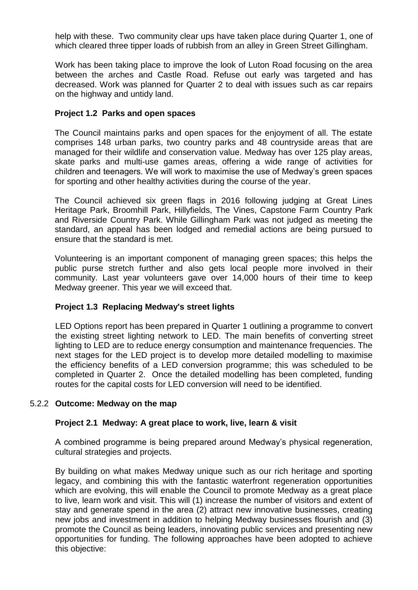help with these. Two community clear ups have taken place during Quarter 1, one of which cleared three tipper loads of rubbish from an alley in Green Street Gillingham.

Work has been taking place to improve the look of Luton Road focusing on the area between the arches and Castle Road. Refuse out early was targeted and has decreased. Work was planned for Quarter 2 to deal with issues such as car repairs on the highway and untidy land.

# **Project 1.2 Parks and open spaces**

The Council maintains parks and open spaces for the enjoyment of all. The estate comprises 148 urban parks, two country parks and 48 countryside areas that are managed for their wildlife and conservation value. Medway has over 125 play areas, skate parks and multi-use games areas, offering a wide range of activities for children and teenagers. We will work to maximise the use of Medway's green spaces for sporting and other healthy activities during the course of the year.

The Council achieved six green flags in 2016 following judging at Great Lines Heritage Park, Broomhill Park, Hillyfields, The Vines, Capstone Farm Country Park and Riverside Country Park. While Gillingham Park was not judged as meeting the standard, an appeal has been lodged and remedial actions are being pursued to ensure that the standard is met.

Volunteering is an important component of managing green spaces; this helps the public purse stretch further and also gets local people more involved in their community. Last year volunteers gave over 14,000 hours of their time to keep Medway greener. This year we will exceed that.

# **Project 1.3 Replacing Medway's street lights**

LED Options report has been prepared in Quarter 1 outlining a programme to convert the existing street lighting network to LED. The main benefits of converting street lighting to LED are to reduce energy consumption and maintenance frequencies. The next stages for the LED project is to develop more detailed modelling to maximise the efficiency benefits of a LED conversion programme; this was scheduled to be completed in Quarter 2. Once the detailed modelling has been completed, funding routes for the capital costs for LED conversion will need to be identified.

# 5.2.2 **Outcome: Medway on the map**

# **Project 2.1 Medway: A great place to work, live, learn & visit**

A combined programme is being prepared around Medway's physical regeneration, cultural strategies and projects.

By building on what makes Medway unique such as our rich heritage and sporting legacy, and combining this with the fantastic waterfront regeneration opportunities which are evolving, this will enable the Council to promote Medway as a great place to live, learn work and visit. This will (1) increase the number of visitors and extent of stay and generate spend in the area (2) attract new innovative businesses, creating new jobs and investment in addition to helping Medway businesses flourish and (3) promote the Council as being leaders, innovating public services and presenting new opportunities for funding. The following approaches have been adopted to achieve this objective: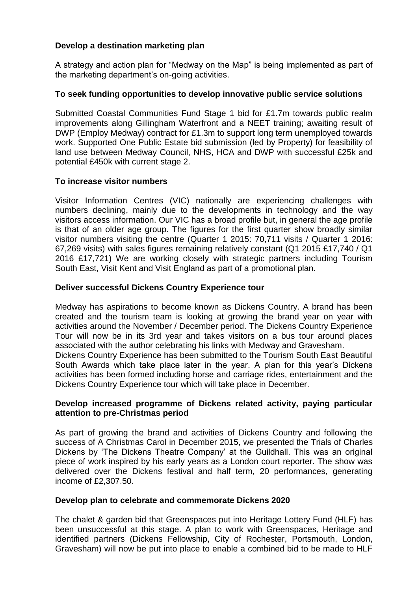# **Develop a destination marketing plan**

A strategy and action plan for "Medway on the Map" is being implemented as part of the marketing department's on-going activities.

# **To seek funding opportunities to develop innovative public service solutions**

Submitted Coastal Communities Fund Stage 1 bid for £1.7m towards public realm improvements along Gillingham Waterfront and a NEET training; awaiting result of DWP (Employ Medway) contract for £1.3m to support long term unemployed towards work. Supported One Public Estate bid submission (led by Property) for feasibility of land use between Medway Council, NHS, HCA and DWP with successful £25k and potential £450k with current stage 2.

# **To increase visitor numbers**

Visitor Information Centres (VIC) nationally are experiencing challenges with numbers declining, mainly due to the developments in technology and the way visitors access information. Our VIC has a broad profile but, in general the age profile is that of an older age group. The figures for the first quarter show broadly similar visitor numbers visiting the centre (Quarter 1 2015: 70,711 visits / Quarter 1 2016: 67,269 visits) with sales figures remaining relatively constant (Q1 2015 £17,740 / Q1 2016 £17,721) We are working closely with strategic partners including Tourism South East, Visit Kent and Visit England as part of a promotional plan.

# **Deliver successful Dickens Country Experience tour**

Medway has aspirations to become known as Dickens Country. A brand has been created and the tourism team is looking at growing the brand year on year with activities around the November / December period. The Dickens Country Experience Tour will now be in its 3rd year and takes visitors on a bus tour around places associated with the author celebrating his links with Medway and Gravesham.

Dickens Country Experience has been submitted to the Tourism South East Beautiful South Awards which take place later in the year. A plan for this year's Dickens activities has been formed including horse and carriage rides, entertainment and the Dickens Country Experience tour which will take place in December.

# **Develop increased programme of Dickens related activity, paying particular attention to pre-Christmas period**

As part of growing the brand and activities of Dickens Country and following the success of A Christmas Carol in December 2015, we presented the Trials of Charles Dickens by 'The Dickens Theatre Company' at the Guildhall. This was an original piece of work inspired by his early years as a London court reporter. The show was delivered over the Dickens festival and half term, 20 performances, generating income of £2,307.50.

# **Develop plan to celebrate and commemorate Dickens 2020**

The chalet & garden bid that Greenspaces put into Heritage Lottery Fund (HLF) has been unsuccessful at this stage. A plan to work with Greenspaces, Heritage and identified partners (Dickens Fellowship, City of Rochester, Portsmouth, London, Gravesham) will now be put into place to enable a combined bid to be made to HLF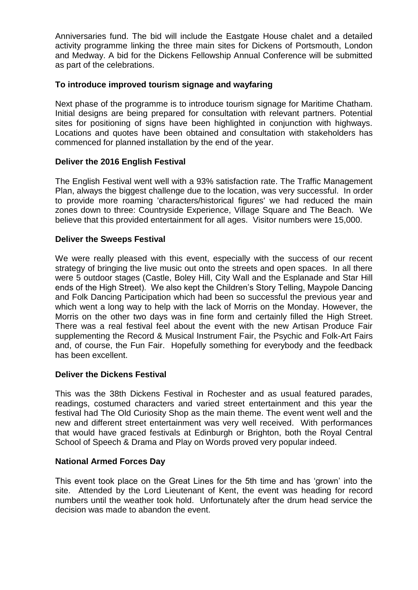Anniversaries fund. The bid will include the Eastgate House chalet and a detailed activity programme linking the three main sites for Dickens of Portsmouth, London and Medway. A bid for the Dickens Fellowship Annual Conference will be submitted as part of the celebrations.

# **To introduce improved tourism signage and wayfaring**

Next phase of the programme is to introduce tourism signage for Maritime Chatham. Initial designs are being prepared for consultation with relevant partners. Potential sites for positioning of signs have been highlighted in conjunction with highways. Locations and quotes have been obtained and consultation with stakeholders has commenced for planned installation by the end of the year.

# **Deliver the 2016 English Festival**

The English Festival went well with a 93% satisfaction rate. The Traffic Management Plan, always the biggest challenge due to the location, was very successful. In order to provide more roaming 'characters/historical figures' we had reduced the main zones down to three: Countryside Experience, Village Square and The Beach. We believe that this provided entertainment for all ages. Visitor numbers were 15,000.

# **Deliver the Sweeps Festival**

We were really pleased with this event, especially with the success of our recent strategy of bringing the live music out onto the streets and open spaces. In all there were 5 outdoor stages (Castle, Boley Hill, City Wall and the Esplanade and Star Hill ends of the High Street). We also kept the Children's Story Telling, Maypole Dancing and Folk Dancing Participation which had been so successful the previous year and which went a long way to help with the lack of Morris on the Monday. However, the Morris on the other two days was in fine form and certainly filled the High Street. There was a real festival feel about the event with the new Artisan Produce Fair supplementing the Record & Musical Instrument Fair, the Psychic and Folk-Art Fairs and, of course, the Fun Fair. Hopefully something for everybody and the feedback has been excellent.

# **Deliver the Dickens Festival**

This was the 38th Dickens Festival in Rochester and as usual featured parades, readings, costumed characters and varied street entertainment and this year the festival had The Old Curiosity Shop as the main theme. The event went well and the new and different street entertainment was very well received. With performances that would have graced festivals at Edinburgh or Brighton, both the Royal Central School of Speech & Drama and Play on Words proved very popular indeed.

# **National Armed Forces Day**

This event took place on the Great Lines for the 5th time and has 'grown' into the site. Attended by the Lord Lieutenant of Kent, the event was heading for record numbers until the weather took hold. Unfortunately after the drum head service the decision was made to abandon the event.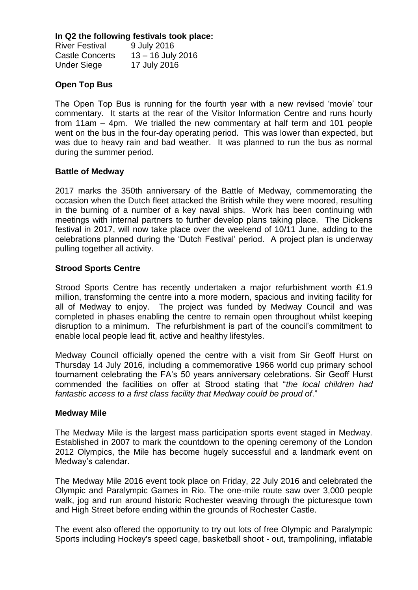# **In Q2 the following festivals took place:**

River Festival 9 July 2016 Castle Concerts 13 – 16 July 2016 Under Siege 17 July 2016

# **Open Top Bus**

The Open Top Bus is running for the fourth year with a new revised 'movie' tour commentary. It starts at the rear of the Visitor Information Centre and runs hourly from 11am – 4pm. We trialled the new commentary at half term and 101 people went on the bus in the four-day operating period. This was lower than expected, but was due to heavy rain and bad weather. It was planned to run the bus as normal during the summer period.

# **Battle of Medway**

2017 marks the 350th anniversary of the Battle of Medway, commemorating the occasion when the Dutch fleet attacked the British while they were moored, resulting in the burning of a number of a key naval ships. Work has been continuing with meetings with internal partners to further develop plans taking place. The Dickens festival in 2017, will now take place over the weekend of 10/11 June, adding to the celebrations planned during the 'Dutch Festival' period. A project plan is underway pulling together all activity.

# **Strood Sports Centre**

Strood Sports Centre has recently undertaken a major refurbishment worth £1.9 million, transforming the centre into a more modern, spacious and inviting facility for all of Medway to enjoy. The project was funded by Medway Council and was completed in phases enabling the centre to remain open throughout whilst keeping disruption to a minimum. The refurbishment is part of the council's commitment to enable local people lead fit, active and healthy lifestyles.

Medway Council officially opened the centre with a visit from Sir Geoff Hurst on Thursday 14 July 2016, including a commemorative 1966 world cup primary school tournament celebrating the FA's 50 years anniversary celebrations. Sir Geoff Hurst commended the facilities on offer at Strood stating that "*the local children had fantastic access to a first class facility that Medway could be proud of*."

# **Medway Mile**

The Medway Mile is the largest mass participation sports event staged in Medway. Established in 2007 to mark the countdown to the opening ceremony of the London 2012 Olympics, the Mile has become hugely successful and a landmark event on Medway's calendar.

The Medway Mile 2016 event took place on Friday, 22 July 2016 and celebrated the Olympic and Paralympic Games in Rio. The one-mile route saw over 3,000 people walk, jog and run around historic Rochester weaving through the picturesque town and High Street before ending within the grounds of Rochester Castle.

The event also offered the opportunity to try out lots of free Olympic and Paralympic Sports including Hockey's speed cage, basketball shoot - out, trampolining, inflatable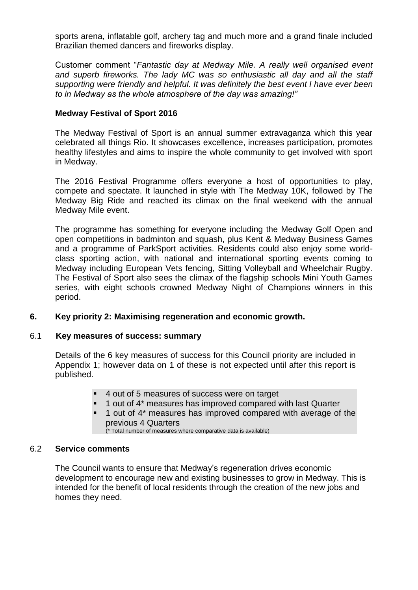sports arena, inflatable golf, archery tag and much more and a grand finale included Brazilian themed dancers and fireworks display.

Customer comment "*Fantastic day at Medway Mile. A really well organised event and superb fireworks. The lady MC was so enthusiastic all day and all the staff supporting were friendly and helpful. It was definitely the best event I have ever been to in Medway as the whole atmosphere of the day was amazing!"*

# **Medway Festival of Sport 2016**

The Medway Festival of Sport is an annual summer extravaganza which this year celebrated all things Rio. It showcases excellence, increases participation, promotes healthy lifestyles and aims to inspire the whole community to get involved with sport in Medway.

The 2016 Festival Programme offers everyone a host of opportunities to play, compete and spectate. It launched in style with The Medway 10K, followed by The Medway Big Ride and reached its climax on the final weekend with the annual Medway Mile event.

The programme has something for everyone including the Medway Golf Open and open competitions in badminton and squash, plus Kent & Medway Business Games and a programme of ParkSport activities. Residents could also enjoy some worldclass sporting action, with national and international sporting events coming to Medway including European Vets fencing, Sitting Volleyball and Wheelchair Rugby. The Festival of Sport also sees the climax of the flagship schools Mini Youth Games series, with eight schools crowned Medway Night of Champions winners in this period.

# **6. Key priority 2: Maximising regeneration and economic growth.**

#### 6.1 **Key measures of success: summary**

Details of the 6 key measures of success for this Council priority are included in Appendix 1; however data on 1 of these is not expected until after this report is published.

- 4 out of 5 measures of success were on target
- 1 out of 4\* measures has improved compared with last Quarter
- 1 out of 4\* measures has improved compared with average of the previous 4 Quarters

(\* Total number of measures where comparative data is available)

#### 6.2 **Service comments**

The Council wants to ensure that Medway's regeneration drives economic development to encourage new and existing businesses to grow in Medway. This is intended for the benefit of local residents through the creation of the new jobs and homes they need.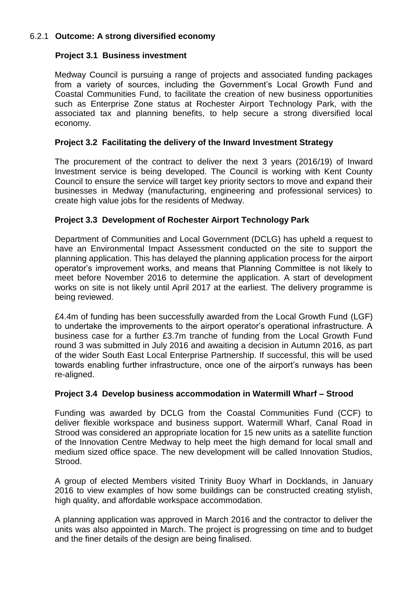# 6.2.1 **Outcome: A strong diversified economy**

# **Project 3.1 Business investment**

Medway Council is pursuing a range of projects and associated funding packages from a variety of sources, including the Government's Local Growth Fund and Coastal Communities Fund, to facilitate the creation of new business opportunities such as Enterprise Zone status at Rochester Airport Technology Park, with the associated tax and planning benefits, to help secure a strong diversified local economy.

# **Project 3.2 Facilitating the delivery of the Inward Investment Strategy**

The procurement of the contract to deliver the next 3 years (2016/19) of Inward Investment service is being developed. The Council is working with Kent County Council to ensure the service will target key priority sectors to move and expand their businesses in Medway (manufacturing, engineering and professional services) to create high value jobs for the residents of Medway.

# **Project 3.3 Development of Rochester Airport Technology Park**

Department of Communities and Local Government (DCLG) has upheld a request to have an Environmental Impact Assessment conducted on the site to support the planning application. This has delayed the planning application process for the airport operator's improvement works, and means that Planning Committee is not likely to meet before November 2016 to determine the application. A start of development works on site is not likely until April 2017 at the earliest. The delivery programme is being reviewed.

£4.4m of funding has been successfully awarded from the Local Growth Fund (LGF) to undertake the improvements to the airport operator's operational infrastructure. A business case for a further £3.7m tranche of funding from the Local Growth Fund round 3 was submitted in July 2016 and awaiting a decision in Autumn 2016, as part of the wider South East Local Enterprise Partnership. If successful, this will be used towards enabling further infrastructure, once one of the airport's runways has been re-aligned.

# **Project 3.4 Develop business accommodation in Watermill Wharf – Strood**

Funding was awarded by DCLG from the Coastal Communities Fund (CCF) to deliver flexible workspace and business support. Watermill Wharf, Canal Road in Strood was considered an appropriate location for 15 new units as a satellite function of the Innovation Centre Medway to help meet the high demand for local small and medium sized office space. The new development will be called Innovation Studios, Strood.

A group of elected Members visited Trinity Buoy Wharf in Docklands, in January 2016 to view examples of how some buildings can be constructed creating stylish, high quality, and affordable workspace accommodation.

A planning application was approved in March 2016 and the contractor to deliver the units was also appointed in March. The project is progressing on time and to budget and the finer details of the design are being finalised.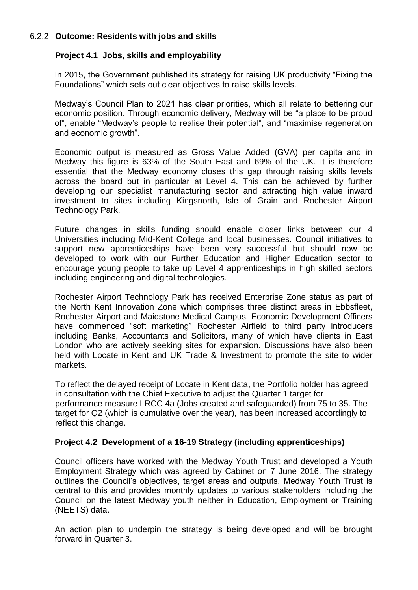# 6.2.2 **Outcome: Residents with jobs and skills**

# **Project 4.1 Jobs, skills and employability**

In 2015, the Government published its strategy for raising UK productivity "Fixing the Foundations" which sets out clear objectives to raise skills levels.

Medway's Council Plan to 2021 has clear priorities, which all relate to bettering our economic position. Through economic delivery, Medway will be "a place to be proud of", enable "Medway's people to realise their potential", and "maximise regeneration and economic growth".

Economic output is measured as Gross Value Added (GVA) per capita and in Medway this figure is 63% of the South East and 69% of the UK. It is therefore essential that the Medway economy closes this gap through raising skills levels across the board but in particular at Level 4. This can be achieved by further developing our specialist manufacturing sector and attracting high value inward investment to sites including Kingsnorth, Isle of Grain and Rochester Airport Technology Park.

Future changes in skills funding should enable closer links between our 4 Universities including Mid-Kent College and local businesses. Council initiatives to support new apprenticeships have been very successful but should now be developed to work with our Further Education and Higher Education sector to encourage young people to take up Level 4 apprenticeships in high skilled sectors including engineering and digital technologies.

Rochester Airport Technology Park has received Enterprise Zone status as part of the North Kent Innovation Zone which comprises three distinct areas in Ebbsfleet, Rochester Airport and Maidstone Medical Campus. Economic Development Officers have commenced "soft marketing" Rochester Airfield to third party introducers including Banks, Accountants and Solicitors, many of which have clients in East London who are actively seeking sites for expansion. Discussions have also been held with Locate in Kent and UK Trade & Investment to promote the site to wider markets.

To reflect the delayed receipt of Locate in Kent data, the Portfolio holder has agreed in consultation with the Chief Executive to adjust the Quarter 1 target for performance measure LRCC 4a (Jobs created and safeguarded) from 75 to 35. The target for Q2 (which is cumulative over the year), has been increased accordingly to reflect this change.

# **Project 4.2 Development of a 16-19 Strategy (including apprenticeships)**

Council officers have worked with the Medway Youth Trust and developed a Youth Employment Strategy which was agreed by Cabinet on 7 June 2016. The strategy outlines the Council's objectives, target areas and outputs. Medway Youth Trust is central to this and provides monthly updates to various stakeholders including the Council on the latest Medway youth neither in Education, Employment or Training (NEETS) data.

An action plan to underpin the strategy is being developed and will be brought forward in Quarter 3.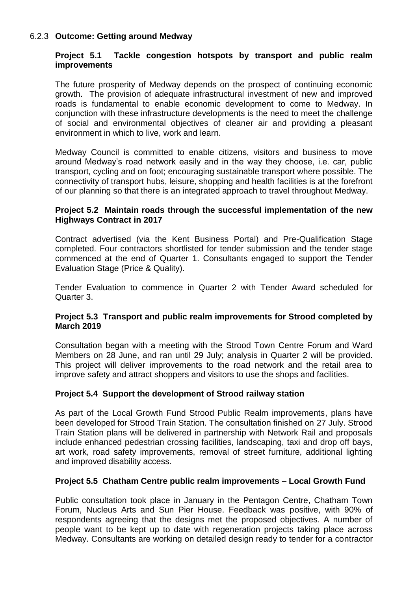# 6.2.3 **Outcome: Getting around Medway**

# **Project 5.1 Tackle congestion hotspots by transport and public realm improvements**

The future prosperity of Medway depends on the prospect of continuing economic growth. The provision of adequate infrastructural investment of new and improved roads is fundamental to enable economic development to come to Medway. In conjunction with these infrastructure developments is the need to meet the challenge of social and environmental objectives of cleaner air and providing a pleasant environment in which to live, work and learn.

Medway Council is committed to enable citizens, visitors and business to move around Medway's road network easily and in the way they choose, i.e. car, public transport, cycling and on foot; encouraging sustainable transport where possible. The connectivity of transport hubs, leisure, shopping and health facilities is at the forefront of our planning so that there is an integrated approach to travel throughout Medway.

# **Project 5.2 Maintain roads through the successful implementation of the new Highways Contract in 2017**

Contract advertised (via the Kent Business Portal) and Pre-Qualification Stage completed. Four contractors shortlisted for tender submission and the tender stage commenced at the end of Quarter 1. Consultants engaged to support the Tender Evaluation Stage (Price & Quality).

Tender Evaluation to commence in Quarter 2 with Tender Award scheduled for Quarter 3.

# **Project 5.3 Transport and public realm improvements for Strood completed by March 2019**

Consultation began with a meeting with the Strood Town Centre Forum and Ward Members on 28 June, and ran until 29 July; analysis in Quarter 2 will be provided. This project will deliver improvements to the road network and the retail area to improve safety and attract shoppers and visitors to use the shops and facilities.

# **Project 5.4 Support the development of Strood railway station**

As part of the Local Growth Fund Strood Public Realm improvements, plans have been developed for Strood Train Station. The consultation finished on 27 July. Strood Train Station plans will be delivered in partnership with Network Rail and proposals include enhanced pedestrian crossing facilities, landscaping, taxi and drop off bays, art work, road safety improvements, removal of street furniture, additional lighting and improved disability access.

# **Project 5.5 Chatham Centre public realm improvements – Local Growth Fund**

Public consultation took place in January in the Pentagon Centre, Chatham Town Forum, Nucleus Arts and Sun Pier House. Feedback was positive, with 90% of respondents agreeing that the designs met the proposed objectives. A number of people want to be kept up to date with regeneration projects taking place across Medway. Consultants are working on detailed design ready to tender for a contractor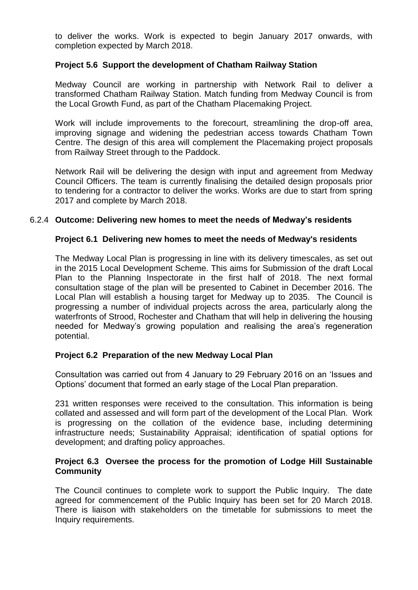to deliver the works. Work is expected to begin January 2017 onwards, with completion expected by March 2018.

# **Project 5.6 Support the development of Chatham Railway Station**

Medway Council are working in partnership with Network Rail to deliver a transformed Chatham Railway Station. Match funding from Medway Council is from the Local Growth Fund, as part of the Chatham Placemaking Project.

Work will include improvements to the forecourt, streamlining the drop-off area, improving signage and widening the pedestrian access towards Chatham Town Centre. The design of this area will complement the Placemaking project proposals from Railway Street through to the Paddock.

Network Rail will be delivering the design with input and agreement from Medway Council Officers. The team is currently finalising the detailed design proposals prior to tendering for a contractor to deliver the works. Works are due to start from spring 2017 and complete by March 2018.

### 6.2.4 **Outcome: Delivering new homes to meet the needs of Medway's residents**

### **Project 6.1 Delivering new homes to meet the needs of Medway's residents**

The Medway Local Plan is progressing in line with its delivery timescales, as set out in the 2015 Local Development Scheme. This aims for Submission of the draft Local Plan to the Planning Inspectorate in the first half of 2018. The next formal consultation stage of the plan will be presented to Cabinet in December 2016. The Local Plan will establish a housing target for Medway up to 2035. The Council is progressing a number of individual projects across the area, particularly along the waterfronts of Strood, Rochester and Chatham that will help in delivering the housing needed for Medway's growing population and realising the area's regeneration potential.

# **Project 6.2 Preparation of the new Medway Local Plan**

Consultation was carried out from 4 January to 29 February 2016 on an 'Issues and Options' document that formed an early stage of the Local Plan preparation.

231 written responses were received to the consultation. This information is being collated and assessed and will form part of the development of the Local Plan. Work is progressing on the collation of the evidence base, including determining infrastructure needs; Sustainability Appraisal; identification of spatial options for development; and drafting policy approaches.

# **Project 6.3 Oversee the process for the promotion of Lodge Hill Sustainable Community**

The Council continues to complete work to support the Public Inquiry. The date agreed for commencement of the Public Inquiry has been set for 20 March 2018. There is liaison with stakeholders on the timetable for submissions to meet the Inquiry requirements.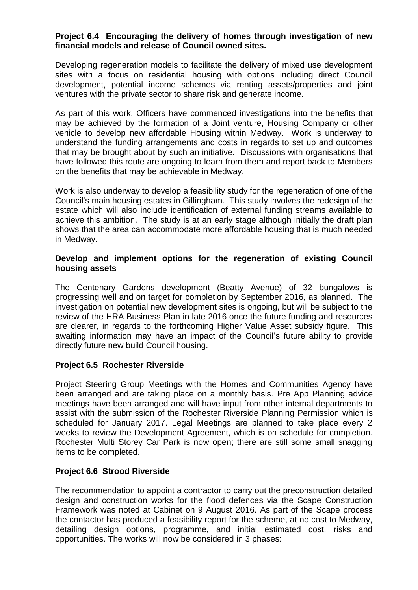# **Project 6.4 Encouraging the delivery of homes through investigation of new financial models and release of Council owned sites.**

Developing regeneration models to facilitate the delivery of mixed use development sites with a focus on residential housing with options including direct Council development, potential income schemes via renting assets/properties and joint ventures with the private sector to share risk and generate income.

As part of this work, Officers have commenced investigations into the benefits that may be achieved by the formation of a Joint venture, Housing Company or other vehicle to develop new affordable Housing within Medway. Work is underway to understand the funding arrangements and costs in regards to set up and outcomes that may be brought about by such an initiative. Discussions with organisations that have followed this route are ongoing to learn from them and report back to Members on the benefits that may be achievable in Medway.

Work is also underway to develop a feasibility study for the regeneration of one of the Council's main housing estates in Gillingham. This study involves the redesign of the estate which will also include identification of external funding streams available to achieve this ambition. The study is at an early stage although initially the draft plan shows that the area can accommodate more affordable housing that is much needed in Medway.

# **Develop and implement options for the regeneration of existing Council housing assets**

The Centenary Gardens development (Beatty Avenue) of 32 bungalows is progressing well and on target for completion by September 2016, as planned. The investigation on potential new development sites is ongoing, but will be subject to the review of the HRA Business Plan in late 2016 once the future funding and resources are clearer, in regards to the forthcoming Higher Value Asset subsidy figure. This awaiting information may have an impact of the Council's future ability to provide directly future new build Council housing.

# **Project 6.5 Rochester Riverside**

Project Steering Group Meetings with the Homes and Communities Agency have been arranged and are taking place on a monthly basis. Pre App Planning advice meetings have been arranged and will have input from other internal departments to assist with the submission of the Rochester Riverside Planning Permission which is scheduled for January 2017. Legal Meetings are planned to take place every 2 weeks to review the Development Agreement, which is on schedule for completion. Rochester Multi Storey Car Park is now open; there are still some small snagging items to be completed.

# **Project 6.6 Strood Riverside**

The recommendation to appoint a contractor to carry out the preconstruction detailed design and construction works for the flood defences via the Scape Construction Framework was noted at Cabinet on 9 August 2016. As part of the Scape process the contactor has produced a feasibility report for the scheme, at no cost to Medway, detailing design options, programme, and initial estimated cost, risks and opportunities. The works will now be considered in 3 phases: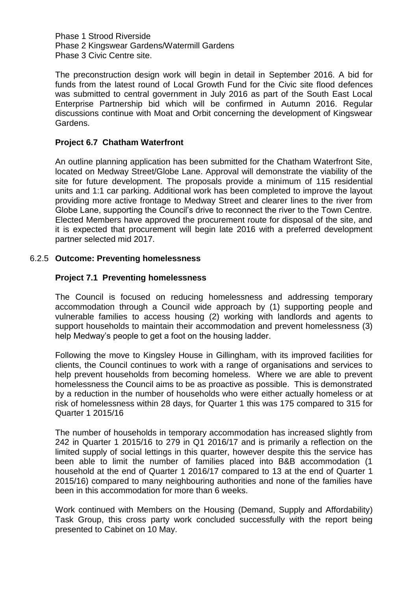Phase 1 Strood Riverside Phase 2 Kingswear Gardens/Watermill Gardens Phase 3 Civic Centre site.

The preconstruction design work will begin in detail in September 2016. A bid for funds from the latest round of Local Growth Fund for the Civic site flood defences was submitted to central government in July 2016 as part of the South East Local Enterprise Partnership bid which will be confirmed in Autumn 2016. Regular discussions continue with Moat and Orbit concerning the development of Kingswear Gardens.

# **Project 6.7 Chatham Waterfront**

An outline planning application has been submitted for the Chatham Waterfront Site, located on Medway Street/Globe Lane. Approval will demonstrate the viability of the site for future development. The proposals provide a minimum of 115 residential units and 1:1 car parking. Additional work has been completed to improve the layout providing more active frontage to Medway Street and clearer lines to the river from Globe Lane, supporting the Council's drive to reconnect the river to the Town Centre. Elected Members have approved the procurement route for disposal of the site, and it is expected that procurement will begin late 2016 with a preferred development partner selected mid 2017.

# 6.2.5 **Outcome: Preventing homelessness**

# **Project 7.1 Preventing homelessness**

The Council is focused on reducing homelessness and addressing temporary accommodation through a Council wide approach by (1) supporting people and vulnerable families to access housing (2) working with landlords and agents to support households to maintain their accommodation and prevent homelessness (3) help Medway's people to get a foot on the housing ladder.

Following the move to Kingsley House in Gillingham, with its improved facilities for clients, the Council continues to work with a range of organisations and services to help prevent households from becoming homeless. Where we are able to prevent homelessness the Council aims to be as proactive as possible. This is demonstrated by a reduction in the number of households who were either actually homeless or at risk of homelessness within 28 days, for Quarter 1 this was 175 compared to 315 for Quarter 1 2015/16

The number of households in temporary accommodation has increased slightly from 242 in Quarter 1 2015/16 to 279 in Q1 2016/17 and is primarily a reflection on the limited supply of social lettings in this quarter, however despite this the service has been able to limit the number of families placed into B&B accommodation (1 household at the end of Quarter 1 2016/17 compared to 13 at the end of Quarter 1 2015/16) compared to many neighbouring authorities and none of the families have been in this accommodation for more than 6 weeks.

Work continued with Members on the Housing (Demand, Supply and Affordability) Task Group, this cross party work concluded successfully with the report being presented to Cabinet on 10 May.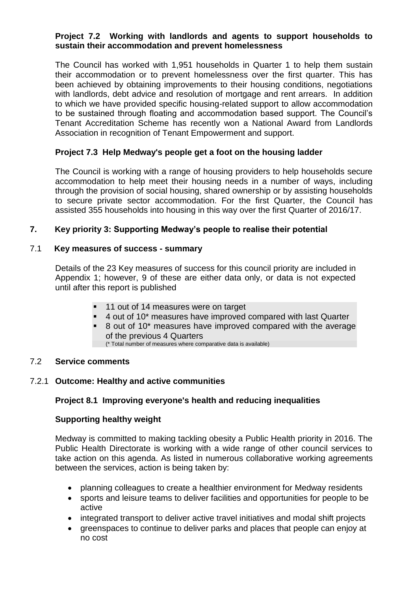# **Project 7.2 Working with landlords and agents to support households to sustain their accommodation and prevent homelessness**

The Council has worked with 1,951 households in Quarter 1 to help them sustain their accommodation or to prevent homelessness over the first quarter. This has been achieved by obtaining improvements to their housing conditions, negotiations with landlords, debt advice and resolution of mortgage and rent arrears. In addition to which we have provided specific housing-related support to allow accommodation to be sustained through floating and accommodation based support. The Council's Tenant Accreditation Scheme has recently won a National Award from Landlords Association in recognition of Tenant Empowerment and support.

# **Project 7.3 Help Medway's people get a foot on the housing ladder**

The Council is working with a range of housing providers to help households secure accommodation to help meet their housing needs in a number of ways, including through the provision of social housing, shared ownership or by assisting households to secure private sector accommodation. For the first Quarter, the Council has assisted 355 households into housing in this way over the first Quarter of 2016/17.

# **7. Key priority 3: Supporting Medway's people to realise their potential**

# 7.1 **Key measures of success - summary**

Details of the 23 Key measures of success for this council priority are included in Appendix 1; however, 9 of these are either data only, or data is not expected until after this report is published

- 11 out of 14 measures were on target
- 4 out of 10\* measures have improved compared with last Quarter
- 8 out of 10\* measures have improved compared with the average of the previous 4 Quarters (\* Total number of measures where comparative data is available)

#### 7.2 **Service comments**

# 7.2.1 **Outcome: Healthy and active communities**

# **Project 8.1 Improving everyone's health and reducing inequalities**

# **Supporting healthy weight**

Medway is committed to making tackling obesity a Public Health priority in 2016. The Public Health Directorate is working with a wide range of other council services to take action on this agenda. As listed in numerous collaborative working agreements between the services, action is being taken by:

- planning colleagues to create a healthier environment for Medway residents
- sports and leisure teams to deliver facilities and opportunities for people to be active
- integrated transport to deliver active travel initiatives and modal shift projects
- greenspaces to continue to deliver parks and places that people can enjoy at no cost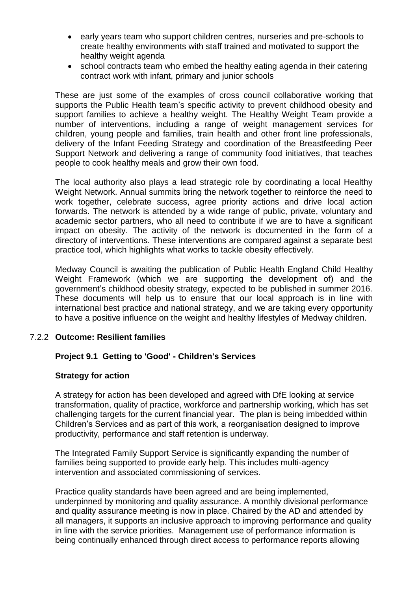- early years team who support children centres, nurseries and pre-schools to create healthy environments with staff trained and motivated to support the healthy weight agenda
- school contracts team who embed the healthy eating agenda in their catering contract work with infant, primary and junior schools

These are just some of the examples of cross council collaborative working that supports the Public Health team's specific activity to prevent childhood obesity and support families to achieve a healthy weight. The Healthy Weight Team provide a number of interventions, including a range of weight management services for children, young people and families, train health and other front line professionals, delivery of the Infant Feeding Strategy and coordination of the Breastfeeding Peer Support Network and delivering a range of community food initiatives, that teaches people to cook healthy meals and grow their own food.

The local authority also plays a lead strategic role by coordinating a local Healthy Weight Network. Annual summits bring the network together to reinforce the need to work together, celebrate success, agree priority actions and drive local action forwards. The network is attended by a wide range of public, private, voluntary and academic sector partners, who all need to contribute if we are to have a significant impact on obesity. The activity of the network is documented in the form of a directory of interventions. These interventions are compared against a separate best practice tool, which highlights what works to tackle obesity effectively.

Medway Council is awaiting the publication of Public Health England Child Healthy Weight Framework (which we are supporting the development of) and the government's childhood obesity strategy, expected to be published in summer 2016. These documents will help us to ensure that our local approach is in line with international best practice and national strategy, and we are taking every opportunity to have a positive influence on the weight and healthy lifestyles of Medway children.

# 7.2.2 **Outcome: Resilient families**

# **Project 9.1 Getting to 'Good' - Children's Services**

#### **Strategy for action**

A strategy for action has been developed and agreed with DfE looking at service transformation, quality of practice, workforce and partnership working, which has set challenging targets for the current financial year. The plan is being imbedded within Children's Services and as part of this work, a reorganisation designed to improve productivity, performance and staff retention is underway.

The Integrated Family Support Service is significantly expanding the number of families being supported to provide early help. This includes multi-agency intervention and associated commissioning of services.

Practice quality standards have been agreed and are being implemented, underpinned by monitoring and quality assurance. A monthly divisional performance and quality assurance meeting is now in place. Chaired by the AD and attended by all managers, it supports an inclusive approach to improving performance and quality in line with the service priorities. Management use of performance information is being continually enhanced through direct access to performance reports allowing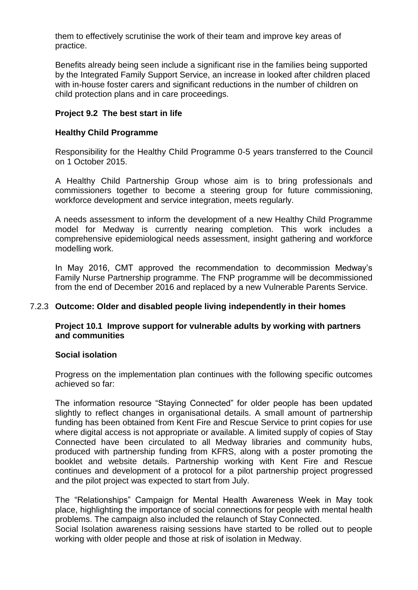them to effectively scrutinise the work of their team and improve key areas of practice.

Benefits already being seen include a significant rise in the families being supported by the Integrated Family Support Service, an increase in looked after children placed with in-house foster carers and significant reductions in the number of children on child protection plans and in care proceedings.

# **Project 9.2 The best start in life**

# **Healthy Child Programme**

Responsibility for the Healthy Child Programme 0-5 years transferred to the Council on 1 October 2015.

A Healthy Child Partnership Group whose aim is to bring professionals and commissioners together to become a steering group for future commissioning, workforce development and service integration, meets regularly.

A needs assessment to inform the development of a new Healthy Child Programme model for Medway is currently nearing completion. This work includes a comprehensive epidemiological needs assessment, insight gathering and workforce modelling work.

In May 2016, CMT approved the recommendation to decommission Medway's Family Nurse Partnership programme. The FNP programme will be decommissioned from the end of December 2016 and replaced by a new Vulnerable Parents Service.

# 7.2.3 **Outcome: Older and disabled people living independently in their homes**

### **Project 10.1 Improve support for vulnerable adults by working with partners and communities**

#### **Social isolation**

Progress on the implementation plan continues with the following specific outcomes achieved so far:

The information resource "Staying Connected" for older people has been updated slightly to reflect changes in organisational details. A small amount of partnership funding has been obtained from Kent Fire and Rescue Service to print copies for use where digital access is not appropriate or available. A limited supply of copies of Stay Connected have been circulated to all Medway libraries and community hubs, produced with partnership funding from KFRS, along with a poster promoting the booklet and website details. Partnership working with Kent Fire and Rescue continues and development of a protocol for a pilot partnership project progressed and the pilot project was expected to start from July.

The "Relationships" Campaign for Mental Health Awareness Week in May took place, highlighting the importance of social connections for people with mental health problems. The campaign also included the relaunch of Stay Connected.

Social Isolation awareness raising sessions have started to be rolled out to people working with older people and those at risk of isolation in Medway.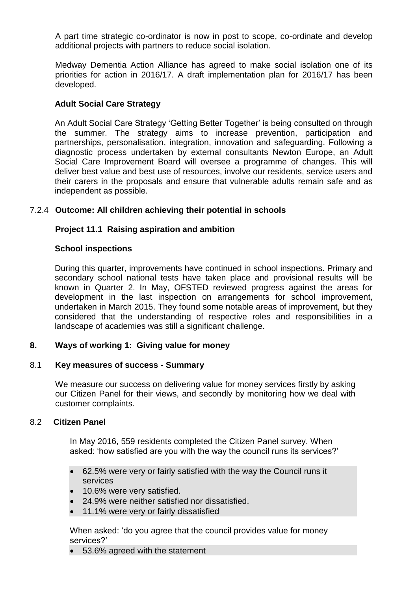A part time strategic co-ordinator is now in post to scope, co-ordinate and develop additional projects with partners to reduce social isolation.

Medway Dementia Action Alliance has agreed to make social isolation one of its priorities for action in 2016/17. A draft implementation plan for 2016/17 has been developed.

# **Adult Social Care Strategy**

An Adult Social Care Strategy 'Getting Better Together' is being consulted on through the summer. The strategy aims to increase prevention, participation and partnerships, personalisation, integration, innovation and safeguarding. Following a diagnostic process undertaken by external consultants Newton Europe, an Adult Social Care Improvement Board will oversee a programme of changes. This will deliver best value and best use of resources, involve our residents, service users and their carers in the proposals and ensure that vulnerable adults remain safe and as independent as possible.

### 7.2.4 **Outcome: All children achieving their potential in schools**

### **Project 11.1 Raising aspiration and ambition**

#### **School inspections**

During this quarter, improvements have continued in school inspections. Primary and secondary school national tests have taken place and provisional results will be known in Quarter 2. In May, OFSTED reviewed progress against the areas for development in the last inspection on arrangements for school improvement, undertaken in March 2015. They found some notable areas of improvement, but they considered that the understanding of respective roles and responsibilities in a landscape of academies was still a significant challenge.

### **8. Ways of working 1: Giving value for money**

#### 8.1 **Key measures of success - Summary**

We measure our success on delivering value for money services firstly by asking our Citizen Panel for their views, and secondly by monitoring how we deal with customer complaints.

#### 8.2 **Citizen Panel**

In May 2016, 559 residents completed the Citizen Panel survey. When asked: 'how satisfied are you with the way the council runs its services?'

- 62.5% were very or fairly satisfied with the way the Council runs it services
- **10.6% were very satisfied.**
- 24.9% were neither satisfied nor dissatisfied.
- 11.1% were very or fairly dissatisfied

When asked: 'do you agree that the council provides value for money services?'

53.6% agreed with the statement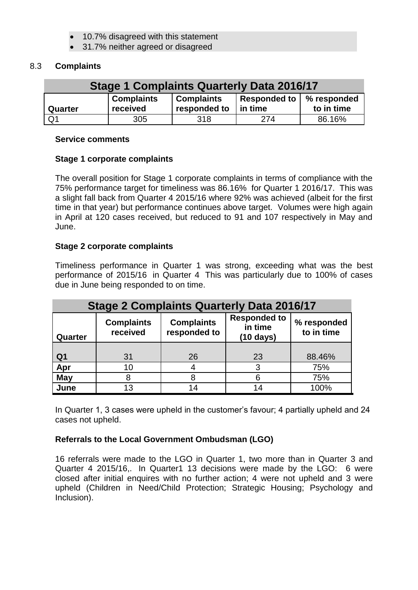- 10.7% disagreed with this statement
- 31.7% neither agreed or disagreed

# 8.3 **Complaints**

| <b>Stage 1 Complaints Quarterly Data 2016/17</b> |                               |                                   |                                       |            |
|--------------------------------------------------|-------------------------------|-----------------------------------|---------------------------------------|------------|
| Quarter                                          | <b>Complaints</b><br>received | <b>Complaints</b><br>responded to | Responded to   % responded<br>in time | to in time |
| Q <sub>1</sub>                                   | 305                           | 318                               | 274                                   | 86.16%     |

#### **Service comments**

# **Stage 1 corporate complaints**

The overall position for Stage 1 corporate complaints in terms of compliance with the 75% performance target for timeliness was 86.16% for Quarter 1 2016/17. This was a slight fall back from Quarter 4 2015/16 where 92% was achieved (albeit for the first time in that year) but performance continues above target. Volumes were high again in April at 120 cases received, but reduced to 91 and 107 respectively in May and June.

# **Stage 2 corporate complaints**

Timeliness performance in Quarter 1 was strong, exceeding what was the best performance of 2015/16 in Quarter 4 This was particularly due to 100% of cases due in June being responded to on time.

| <b>Stage 2 Complaints Quarterly Data 2016/17</b> |                               |                                   |                                                       |                           |
|--------------------------------------------------|-------------------------------|-----------------------------------|-------------------------------------------------------|---------------------------|
| Quarter                                          | <b>Complaints</b><br>received | <b>Complaints</b><br>responded to | <b>Responded to</b><br>in time<br>$(10 \text{ days})$ | % responded<br>to in time |
|                                                  |                               |                                   |                                                       |                           |
| Q <sub>1</sub>                                   | 31                            | 26                                | 23                                                    | 88.46%                    |
| Apr                                              | 10                            |                                   | 3                                                     | 75%                       |
| <b>May</b>                                       |                               |                                   |                                                       | 75%                       |
| June                                             | 13                            |                                   |                                                       | 100%                      |

In Quarter 1, 3 cases were upheld in the customer's favour; 4 partially upheld and 24 cases not upheld.

# **Referrals to the Local Government Ombudsman (LGO)**

16 referrals were made to the LGO in Quarter 1, two more than in Quarter 3 and Quarter 4 2015/16,. In Quarter1 13 decisions were made by the LGO: 6 were closed after initial enquires with no further action; 4 were not upheld and 3 were upheld (Children in Need/Child Protection; Strategic Housing; Psychology and Inclusion).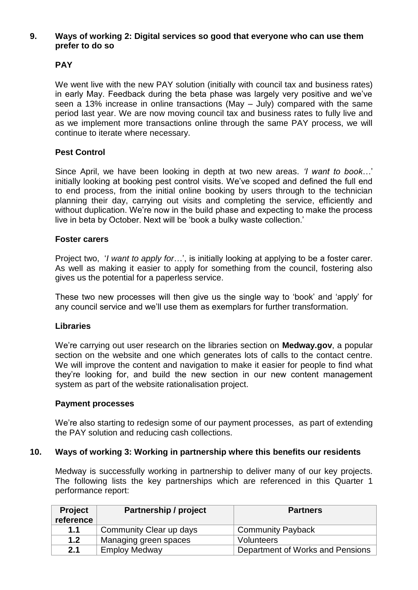# **9. Ways of working 2: Digital services so good that everyone who can use them prefer to do so**

# **PAY**

We went live with the new PAY solution (initially with council tax and business rates) in early May. Feedback during the beta phase was largely very positive and we've seen a 13% increase in online transactions (May – July) compared with the same period last year. We are now moving council tax and business rates to fully live and as we implement more transactions online through the same PAY process, we will continue to iterate where necessary.

# **Pest Control**

Since April, we have been looking in depth at two new areas. *'I want to book*…' initially looking at booking pest control visits. We've scoped and defined the full end to end process, from the initial online booking by users through to the technician planning their day, carrying out visits and completing the service, efficiently and without duplication. We're now in the build phase and expecting to make the process live in beta by October. Next will be 'book a bulky waste collection.'

# **Foster carers**

Project two, '*I want to apply for*…', is initially looking at applying to be a foster carer. As well as making it easier to apply for something from the council, fostering also gives us the potential for a paperless service.

These two new processes will then give us the single way to 'book' and 'apply' for any council service and we'll use them as exemplars for further transformation.

# **Libraries**

We're carrying out user research on the libraries section on **Medway.gov**, a popular section on the website and one which generates lots of calls to the contact centre. We will improve the content and navigation to make it easier for people to find what they're looking for, and build the new section in our new content management system as part of the website rationalisation project.

#### **Payment processes**

We're also starting to redesign some of our payment processes, as part of extending the PAY solution and reducing cash collections.

# **10. Ways of working 3: Working in partnership where this benefits our residents**

Medway is successfully working in partnership to deliver many of our key projects. The following lists the key partnerships which are referenced in this Quarter 1 performance report:

| <b>Project</b><br>reference | <b>Partnership / project</b> | <b>Partners</b>                  |
|-----------------------------|------------------------------|----------------------------------|
| 1.1                         | Community Clear up days      | <b>Community Payback</b>         |
| 1.2                         | Managing green spaces        | Volunteers                       |
| 2.1                         | <b>Employ Medway</b>         | Department of Works and Pensions |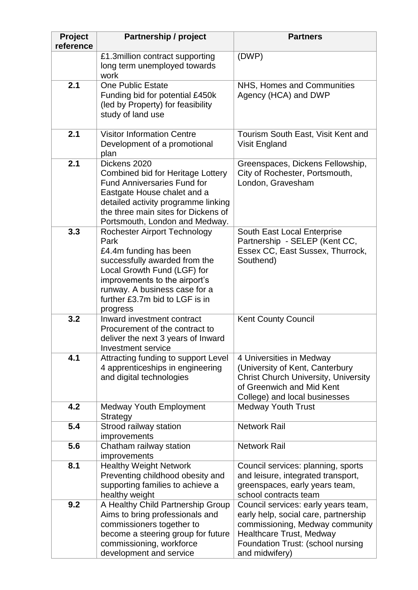| Project<br>reference | <b>Partnership / project</b>                                                                                                                                                                                                                          | <b>Partners</b>                                                                                                                                                                                          |
|----------------------|-------------------------------------------------------------------------------------------------------------------------------------------------------------------------------------------------------------------------------------------------------|----------------------------------------------------------------------------------------------------------------------------------------------------------------------------------------------------------|
|                      | £1.3million contract supporting<br>long term unemployed towards<br>work                                                                                                                                                                               | (DWP)                                                                                                                                                                                                    |
| 2.1                  | <b>One Public Estate</b><br>Funding bid for potential £450k<br>(led by Property) for feasibility<br>study of land use                                                                                                                                 | NHS, Homes and Communities<br>Agency (HCA) and DWP                                                                                                                                                       |
| 2.1                  | <b>Visitor Information Centre</b><br>Development of a promotional<br>plan                                                                                                                                                                             | Tourism South East, Visit Kent and<br>Visit England                                                                                                                                                      |
| 2.1                  | Dickens 2020<br><b>Combined bid for Heritage Lottery</b><br><b>Fund Anniversaries Fund for</b><br>Eastgate House chalet and a<br>detailed activity programme linking<br>the three main sites for Dickens of<br>Portsmouth, London and Medway.         | Greenspaces, Dickens Fellowship,<br>City of Rochester, Portsmouth,<br>London, Gravesham                                                                                                                  |
| 3.3                  | <b>Rochester Airport Technology</b><br>Park<br>£4.4m funding has been<br>successfully awarded from the<br>Local Growth Fund (LGF) for<br>improvements to the airport's<br>runway. A business case for a<br>further £3.7m bid to LGF is in<br>progress | South East Local Enterprise<br>Partnership - SELEP (Kent CC,<br>Essex CC, East Sussex, Thurrock,<br>Southend)                                                                                            |
| 3.2                  | Inward investment contract<br>Procurement of the contract to<br>deliver the next 3 years of Inward<br>Investment service                                                                                                                              | <b>Kent County Council</b>                                                                                                                                                                               |
| 4.1                  | Attracting funding to support Level<br>4 apprenticeships in engineering<br>and digital technologies                                                                                                                                                   | 4 Universities in Medway<br>(University of Kent, Canterbury<br><b>Christ Church University, University</b><br>of Greenwich and Mid Kent<br>College) and local businesses                                 |
| 4.2<br>5.4           | <b>Medway Youth Employment</b><br><b>Strategy</b><br>Strood railway station                                                                                                                                                                           | <b>Medway Youth Trust</b><br><b>Network Rail</b>                                                                                                                                                         |
|                      | improvements                                                                                                                                                                                                                                          | <b>Network Rail</b>                                                                                                                                                                                      |
| 5.6                  | Chatham railway station<br>improvements                                                                                                                                                                                                               |                                                                                                                                                                                                          |
| 8.1                  | <b>Healthy Weight Network</b><br>Preventing childhood obesity and<br>supporting families to achieve a<br>healthy weight                                                                                                                               | Council services: planning, sports<br>and leisure, integrated transport,<br>greenspaces, early years team,<br>school contracts team                                                                      |
| 9.2                  | A Healthy Child Partnership Group<br>Aims to bring professionals and<br>commissioners together to<br>become a steering group for future<br>commissioning, workforce<br>development and service                                                        | Council services: early years team,<br>early help, social care, partnership<br>commissioning, Medway community<br><b>Healthcare Trust, Medway</b><br>Foundation Trust: (school nursing<br>and midwifery) |